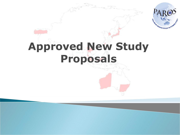

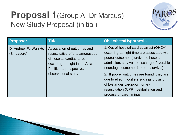### Proposal 1(Group A\_Dr Marcus) **New Study Proposal (initial)**



| <b>Proposer</b>                    | Title                                                                                                                                                                                 | <b>Objectives/Hypothesis</b>                                                                                                                                                                                                                                                                                                                                                                                               |
|------------------------------------|---------------------------------------------------------------------------------------------------------------------------------------------------------------------------------------|----------------------------------------------------------------------------------------------------------------------------------------------------------------------------------------------------------------------------------------------------------------------------------------------------------------------------------------------------------------------------------------------------------------------------|
| Dr Andrew Fu Wah Ho<br>(Singapore) | Association of outcomes and<br>resuscitative efforts amongst out-<br>of-hospital cardiac arrest<br>occurring at night in the Asia-<br>Pacific – a prospective,<br>observational study | 1. Out-of-hospital cardiac arrest (OHCA)<br>occurring at night-time are associated with<br>poorer outcomes (survival to hospital<br>admission, survival to discharge, favorable<br>neurologic outcome, 1-month survival).<br>2. If poorer outcomes are found, they are<br>due to effect modifiers such as provision<br>of bystander cardiopulmonary<br>resuscitation (CPR), defibrillation and<br>process-of-care timings. |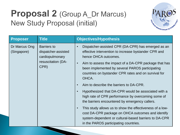### Proposal 2 (Group A\_Dr Marcus) **New Study Proposal (initial)**



| <b>Proposer</b>              | <b>Title</b>                                                                               | <b>Objectives/Hypothesis</b>                                                                                                                                                                                                                                                                                                                                                                                                                                                                                                                                                                                                                                                                                                                                                                                  |
|------------------------------|--------------------------------------------------------------------------------------------|---------------------------------------------------------------------------------------------------------------------------------------------------------------------------------------------------------------------------------------------------------------------------------------------------------------------------------------------------------------------------------------------------------------------------------------------------------------------------------------------------------------------------------------------------------------------------------------------------------------------------------------------------------------------------------------------------------------------------------------------------------------------------------------------------------------|
| Dr Marcus Ong<br>(Singapore) | <b>Barriers to</b><br>dispatcher-assisted<br>cardiopulmonary<br>resuscitation (DA-<br>CPR) | Dispatcher-assisted CPR (DA-CPR) has emerged as an<br>$\bullet$<br>effective intervention to increase bystander CPR and<br>hence OHCA outcomes.<br>Aim to assess the impact of a DA-CPR package that has<br>$\bullet$<br>been implemented by several PAROS participating<br>countries on bystander CPR rates and on survival for<br>OHCA.<br>Aim to describe the barriers to DA-CPR.<br>$\bullet$<br>Hypothesized that DA-CPR would be associated with a<br>$\bullet$<br>high rate of CPR performance by overcoming some of<br>the barriers encountered by emergency callers.<br>This study allows us to show the effectiveness of a low-<br>$\bullet$<br>cost DA-CPR package on OHCA outcomes and identify<br>system-dependent or cultural-based barriers to DA-CPR<br>in the PAROS participating countries. |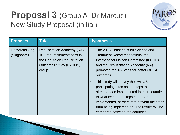### **Proposal 3 (Group A\_Dr Marcus) New Study Proposal (initial)**



| Proposer                     | <b>Title</b>                                                                                                                             | <b>Hypothesis</b>                                                                                                                                                                                                                                                                                                                                                                                                                                                                                                               |
|------------------------------|------------------------------------------------------------------------------------------------------------------------------------------|---------------------------------------------------------------------------------------------------------------------------------------------------------------------------------------------------------------------------------------------------------------------------------------------------------------------------------------------------------------------------------------------------------------------------------------------------------------------------------------------------------------------------------|
| Dr Marcus Ong<br>(Singapore) | <b>Resuscitation Academy (RA)</b><br>10-Step Implementations in<br>the Pan-Asian Resuscitation<br><b>Outcomes Study (PAROS)</b><br>group | The 2015 Consensus on Science and<br>$\bullet$<br>Treatment Recommendations, the<br>International Liaison Committee (ILCOR)<br>and the Resuscitation Academy (RA)<br>promoted the 10-Steps for better OHCA<br>outcomes.<br>This study will survey the PAROS<br>participating sites on the steps that had<br>already been implemented in their countries,<br>to what extent the steps had been<br>implemented, barriers that prevent the steps<br>from being implemented. The results will be<br>compared between the countries. |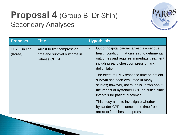# Proposal 4 (Group B\_Dr Shin) **Secondary Analyses**



| Proposer                 | <b>Title</b>                                                                 | <b>Hypothesis</b>                                                                                                                                                                                                                             |
|--------------------------|------------------------------------------------------------------------------|-----------------------------------------------------------------------------------------------------------------------------------------------------------------------------------------------------------------------------------------------|
| Dr Yu Jin Lee<br>(Korea) | Arrest to first compression<br>time and survival outcome in<br>witness OHCA. | Out of hospital cardiac arrest is a serious<br>health condition that can lead to detrimental<br>outcomes and requires immediate treatment<br>including early chest compression and<br>defibrillation.                                         |
|                          |                                                                              | The effect of EMS response time on patient<br>$\overline{\phantom{a}}$<br>survival has been evaluated in many<br>studies; however, not much is known about<br>the impact of bystander CPR on critical time<br>intervals for patient outcomes. |
|                          |                                                                              | This study aims to investigate whether<br>$\overline{\phantom{a}}$<br>bystander CPR influences the time from<br>arrest to first chest compression.                                                                                            |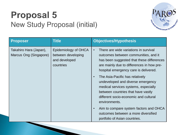# **Proposal 5** New Study Proposal (initial)



| <b>Proposer</b>                                  | <b>Title</b>                                                             | <b>Objectives/Hypothesis</b>                                                                                                                                                                                                  |
|--------------------------------------------------|--------------------------------------------------------------------------|-------------------------------------------------------------------------------------------------------------------------------------------------------------------------------------------------------------------------------|
| Takahiro Hara (Japan),<br>Marcus Ong (Singapore) | Epidemiology of OHCA<br>between developing<br>and developed<br>countries | There are wide variations in survival<br>$\bullet$<br>outcomes between communities, and it<br>has been suggested that these differences<br>are mainly due to differences in how pre-<br>hospital emergency care is delivered. |
|                                                  |                                                                          | The Asia-Pacific has relatively<br>$\bullet$<br>undeveloped and diverse emergency<br>medical services systems, especially<br>between countries that have vastly<br>different socio-economic and cultural<br>environments.     |
|                                                  |                                                                          | Aim to compare system factors and OHCA<br>$\bullet$<br>outcomes between a more diversified<br>portfolio of Asian countries.                                                                                                   |